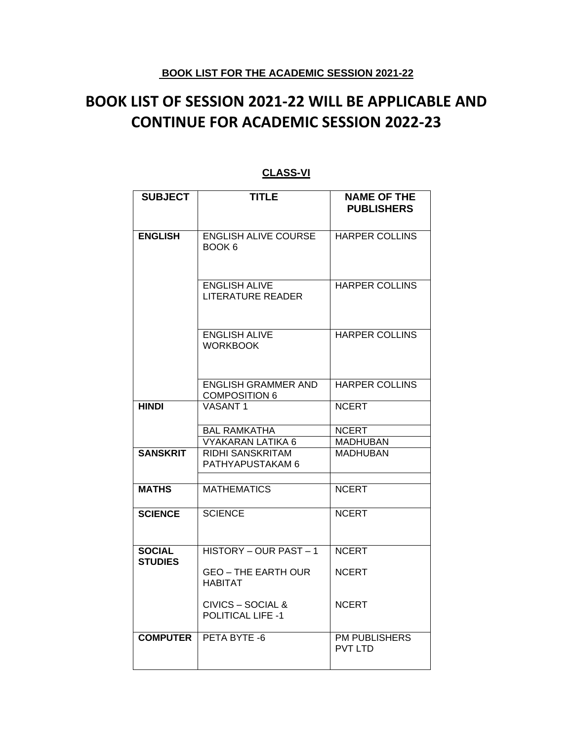### **BOOK LIST FOR THE ACADEMIC SESSION 2021-22**

# **BOOK LIST OF SESSION 2021-22 WILL BE APPLICABLE AND CONTINUE FOR ACADEMIC SESSION 2022-23**

| <b>SUBJECT</b>                  | <b>TITLE</b>                                       | <b>NAME OF THE</b><br><b>PUBLISHERS</b> |
|---------------------------------|----------------------------------------------------|-----------------------------------------|
| <b>ENGLISH</b>                  | <b>ENGLISH ALIVE COURSE</b><br>BOOK 6              | <b>HARPER COLLINS</b>                   |
|                                 | <b>ENGLISH ALIVE</b><br><b>LITERATURE READER</b>   | <b>HARPER COLLINS</b>                   |
|                                 | <b>ENGLISH ALIVE</b><br><b>WORKBOOK</b>            | <b>HARPER COLLINS</b>                   |
|                                 | <b>ENGLISH GRAMMER AND</b><br><b>COMPOSITION 6</b> | <b>HARPER COLLINS</b>                   |
| <b>HINDI</b>                    | <b>VASANT1</b>                                     | <b>NCERT</b>                            |
|                                 | <b>BAL RAMKATHA</b><br><b>VYAKARAN LATIKA 6</b>    | <b>NCERT</b><br><b>MADHUBAN</b>         |
| <b>SANSKRIT</b>                 | RIDHI SANSKRITAM<br>PATHYAPUSTAKAM 6               | <b>MADHUBAN</b>                         |
| <b>MATHS</b>                    | <b>MATHEMATICS</b>                                 | <b>NCERT</b>                            |
| <b>SCIENCE</b>                  | <b>SCIENCE</b>                                     | <b>NCERT</b>                            |
| <b>SOCIAL</b><br><b>STUDIES</b> | HISTORY - OUR PAST - 1                             | <b>NCERT</b>                            |
|                                 | <b>GEO - THE EARTH OUR</b><br><b>HABITAT</b>       | <b>NCERT</b>                            |
|                                 | CIVICS – SOCIAL &<br><b>POLITICAL LIFE -1</b>      | <b>NCERT</b>                            |
| <b>COMPUTER</b>                 | PETA BYTE -6                                       | <b>PM PUBLISHERS</b><br><b>PVT LTD</b>  |

### **CLASS-VI**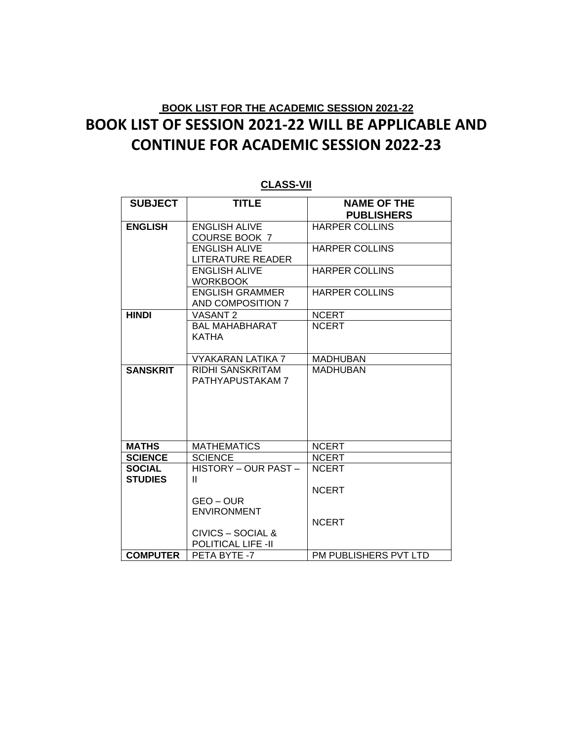| <b>SUBJECT</b>  | <b>TITLE</b>             | <b>NAME OF THE</b>    |
|-----------------|--------------------------|-----------------------|
|                 |                          | <b>PUBLISHERS</b>     |
| <b>ENGLISH</b>  | <b>ENGLISH ALIVE</b>     | <b>HARPER COLLINS</b> |
|                 | <b>COURSE BOOK 7</b>     |                       |
|                 | <b>ENGLISH ALIVE</b>     | <b>HARPER COLLINS</b> |
|                 | <b>LITERATURE READER</b> |                       |
|                 | <b>ENGLISH ALIVE</b>     | <b>HARPER COLLINS</b> |
|                 | <b>WORKBOOK</b>          |                       |
|                 | <b>ENGLISH GRAMMER</b>   | <b>HARPER COLLINS</b> |
|                 | AND COMPOSITION 7        |                       |
| <b>HINDI</b>    | VASANT <sub>2</sub>      | <b>NCERT</b>          |
|                 | <b>BAL MAHABHARAT</b>    | <b>NCERT</b>          |
|                 | <b>KATHA</b>             |                       |
|                 |                          |                       |
|                 | <b>VYAKARAN LATIKA 7</b> | <b>MADHUBAN</b>       |
| <b>SANSKRIT</b> | RIDHI SANSKRITAM         | <b>MADHUBAN</b>       |
|                 | PATHYAPUSTAKAM 7         |                       |
|                 |                          |                       |
|                 |                          |                       |
|                 |                          |                       |
|                 |                          |                       |
|                 |                          |                       |
| <b>MATHS</b>    | <b>MATHEMATICS</b>       | <b>NCERT</b>          |
| <b>SCIENCE</b>  | <b>SCIENCE</b>           | <b>NCERT</b>          |
| <b>SOCIAL</b>   | HISTORY - OUR PAST -     | <b>NCERT</b>          |
| <b>STUDIES</b>  | $\mathbf{H}$             |                       |
|                 |                          | <b>NCERT</b>          |
|                 | GEO-OUR                  |                       |
|                 | <b>ENVIRONMENT</b>       |                       |
|                 |                          | <b>NCERT</b>          |
|                 | CIVICS – SOCIAL &        |                       |
|                 | POLITICAL LIFE -II       |                       |
| <b>COMPUTER</b> | PETA BYTE -7             | PM PUBLISHERS PVT LTD |

#### **CLASS-VII**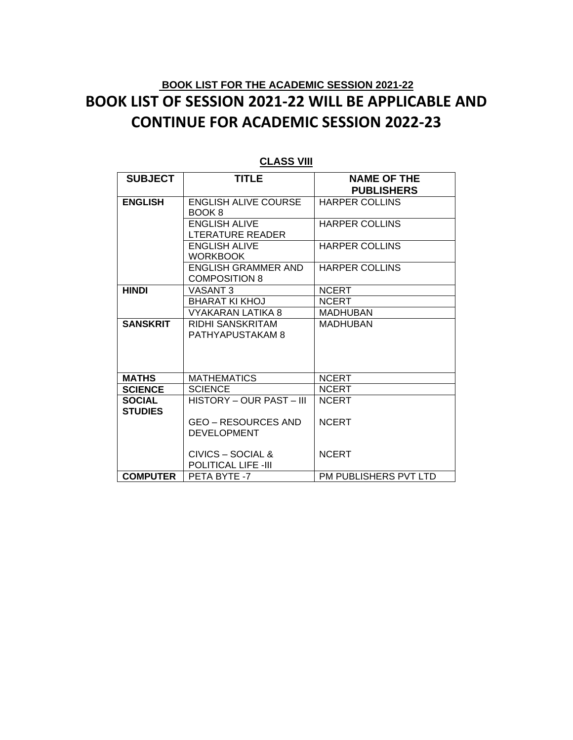| <b>SUBJECT</b>  | <b>TITLE</b>                | <b>NAME OF THE</b>    |
|-----------------|-----------------------------|-----------------------|
|                 |                             | <b>PUBLISHERS</b>     |
| <b>ENGLISH</b>  | <b>ENGLISH ALIVE COURSE</b> | <b>HARPER COLLINS</b> |
|                 | BOOK 8                      |                       |
|                 | <b>ENGLISH ALIVE</b>        | <b>HARPER COLLINS</b> |
|                 | LTERATURE READER            |                       |
|                 | <b>ENGLISH ALIVE</b>        | <b>HARPER COLLINS</b> |
|                 | <b>WORKBOOK</b>             |                       |
|                 | <b>ENGLISH GRAMMER AND</b>  | <b>HARPER COLLINS</b> |
|                 | <b>COMPOSITION 8</b>        |                       |
| <b>HINDI</b>    | <b>VASANT 3</b>             | <b>NCERT</b>          |
|                 | <b>BHARAT KI KHOJ</b>       | <b>NCERT</b>          |
|                 | VYAKARAN LATIKA 8           | <b>MADHUBAN</b>       |
| <b>SANSKRIT</b> | RIDHI SANSKRITAM            | <b>MADHUBAN</b>       |
|                 | PATHYAPUSTAKAM 8            |                       |
|                 |                             |                       |
|                 |                             |                       |
|                 |                             |                       |
| <b>MATHS</b>    | <b>MATHEMATICS</b>          | <b>NCERT</b>          |
| <b>SCIENCE</b>  | <b>SCIENCE</b>              | <b>NCERT</b>          |
| <b>SOCIAL</b>   | HISTORY – OUR PAST – III    | <b>NCERT</b>          |
| <b>STUDIES</b>  |                             |                       |
|                 | <b>GEO – RESOURCES AND</b>  | <b>NCERT</b>          |
|                 | <b>DEVELOPMENT</b>          |                       |
|                 |                             |                       |
|                 | CIVICS – SOCIAL &           | <b>NCERT</b>          |
|                 | <b>POLITICAL LIFE -III</b>  |                       |
| <b>COMPUTER</b> | PETA BYTE -7                | PM PUBLISHERS PVT LTD |

#### **CLASS VIII**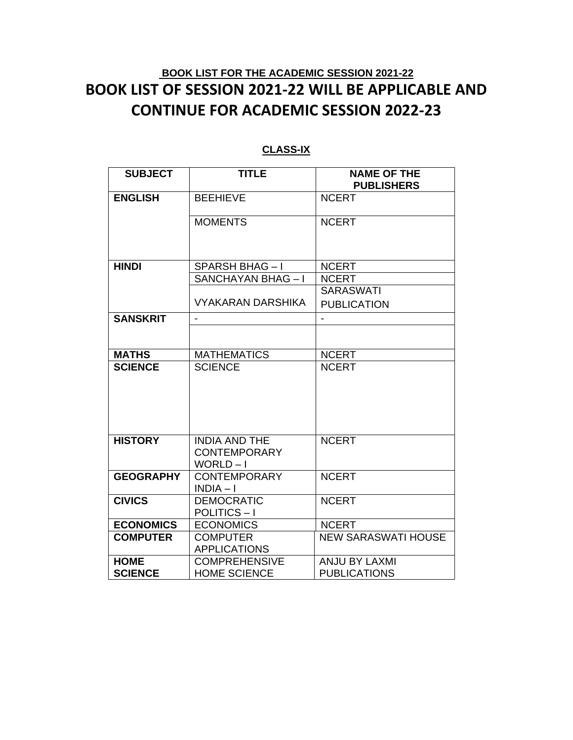| <b>SUBJECT</b>   | <b>TITLE</b>                                           | <b>NAME OF THE</b><br><b>PUBLISHERS</b> |
|------------------|--------------------------------------------------------|-----------------------------------------|
| <b>ENGLISH</b>   | <b>BEEHIEVE</b>                                        | <b>NCERT</b>                            |
|                  | <b>MOMENTS</b>                                         | <b>NCERT</b>                            |
| <b>HINDI</b>     | SPARSH BHAG-I                                          | <b>NCERT</b>                            |
|                  | SANCHAYAN BHAG-I                                       | <b>NCERT</b>                            |
|                  |                                                        | <b>SARASWATI</b>                        |
|                  | <b>VYAKARAN DARSHIKA</b>                               | <b>PUBLICATION</b>                      |
| <b>SANSKRIT</b>  |                                                        |                                         |
|                  |                                                        |                                         |
| <b>MATHS</b>     | <b>MATHEMATICS</b>                                     | <b>NCERT</b>                            |
| <b>SCIENCE</b>   | <b>SCIENCE</b>                                         | <b>NCERT</b>                            |
| <b>HISTORY</b>   | <b>INDIA AND THE</b><br><b>CONTEMPORARY</b><br>WORLD-I | <b>NCERT</b>                            |
| <b>GEOGRAPHY</b> | <b>CONTEMPORARY</b><br>$INDIA-I$                       | <b>NCERT</b>                            |
| <b>CIVICS</b>    | <b>DEMOCRATIC</b><br>POLITICS-I                        | <b>NCERT</b>                            |
| <b>ECONOMICS</b> | <b>ECONOMICS</b>                                       | <b>NCERT</b>                            |
| <b>COMPUTER</b>  | <b>COMPUTER</b><br><b>APPLICATIONS</b>                 | <b>NEW SARASWATI HOUSE</b>              |
| <b>HOME</b>      | <b>COMPREHENSIVE</b>                                   | <b>ANJU BY LAXMI</b>                    |
| <b>SCIENCE</b>   | <b>HOME SCIENCE</b>                                    | <b>PUBLICATIONS</b>                     |

#### **CLASS-IX**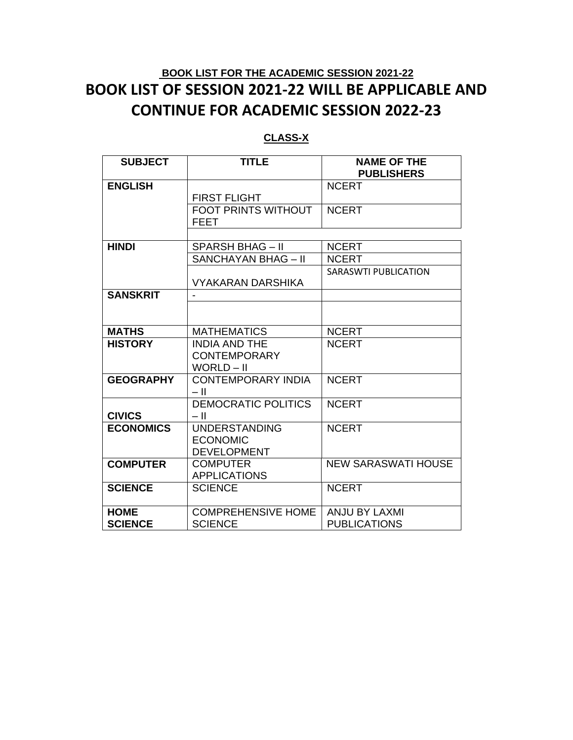### **CLASS-X**

| <b>SUBJECT</b>   | <b>TITLE</b>               | <b>NAME OF THE</b><br><b>PUBLISHERS</b> |
|------------------|----------------------------|-----------------------------------------|
|                  |                            |                                         |
| <b>ENGLISH</b>   |                            | <b>NCERT</b>                            |
|                  | <b>FIRST FLIGHT</b>        |                                         |
|                  | <b>FOOT PRINTS WITHOUT</b> | <b>NCERT</b>                            |
|                  | FEET                       |                                         |
|                  |                            |                                         |
| <b>HINDI</b>     | <b>SPARSH BHAG - II</b>    | <b>NCERT</b>                            |
|                  | <b>SANCHAYAN BHAG - II</b> | <b>NCERT</b>                            |
|                  |                            | <b>SARASWTI PUBLICATION</b>             |
|                  | <b>VYAKARAN DARSHIKA</b>   |                                         |
| <b>SANSKRIT</b>  |                            |                                         |
|                  |                            |                                         |
|                  |                            |                                         |
| <b>MATHS</b>     | <b>MATHEMATICS</b>         | <b>NCERT</b>                            |
| <b>HISTORY</b>   | <b>INDIA AND THE</b>       | <b>NCERT</b>                            |
|                  | <b>CONTEMPORARY</b>        |                                         |
|                  | WORLD - II                 |                                         |
| <b>GEOGRAPHY</b> | <b>CONTEMPORARY INDIA</b>  | <b>NCERT</b>                            |
|                  | - 11                       |                                         |
|                  | <b>DEMOCRATIC POLITICS</b> | <b>NCERT</b>                            |
| <b>CIVICS</b>    | – II                       |                                         |
| <b>ECONOMICS</b> | <b>UNDERSTANDING</b>       | <b>NCERT</b>                            |
|                  | <b>ECONOMIC</b>            |                                         |
|                  | <b>DEVELOPMENT</b>         |                                         |
| <b>COMPUTER</b>  | <b>COMPUTER</b>            | <b>NEW SARASWATI HOUSE</b>              |
|                  | <b>APPLICATIONS</b>        |                                         |
| <b>SCIENCE</b>   | <b>SCIENCE</b>             | <b>NCERT</b>                            |
|                  |                            |                                         |
| <b>HOME</b>      | <b>COMPREHENSIVE HOME</b>  | <b>ANJU BY LAXMI</b>                    |
| <b>SCIENCE</b>   | <b>SCIENCE</b>             | <b>PUBLICATIONS</b>                     |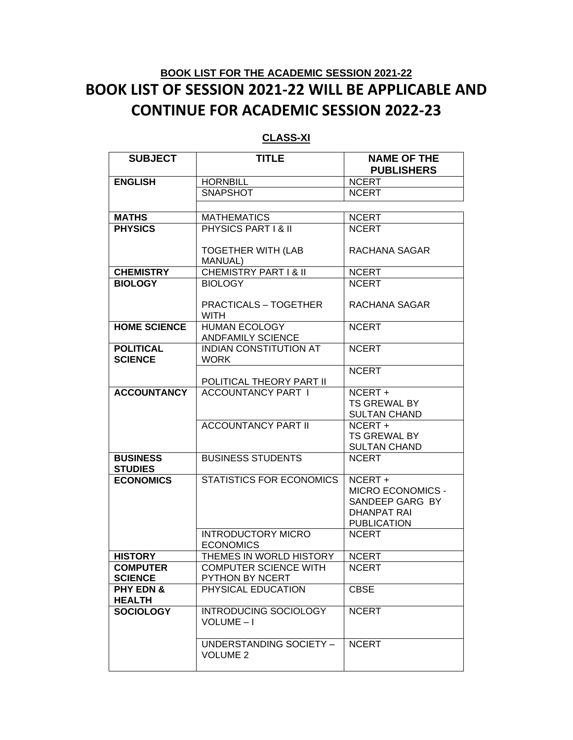| <b>SUBJECT</b>             | <b>TITLE</b>                                          | <b>NAME OF THE</b><br><b>PUBLISHERS</b> |
|----------------------------|-------------------------------------------------------|-----------------------------------------|
| <b>ENGLISH</b>             | <b>HORNBILL</b>                                       | <b>NCERT</b>                            |
|                            | <b>SNAPSHOT</b>                                       | <b>NCERT</b>                            |
|                            |                                                       |                                         |
| <b>MATHS</b>               | <b>MATHEMATICS</b>                                    | <b>NCERT</b>                            |
| <b>PHYSICS</b>             | PHYSICS PART I & II                                   | <b>NCERT</b>                            |
|                            |                                                       |                                         |
|                            | <b>TOGETHER WITH (LAB</b>                             | RACHANA SAGAR                           |
|                            | <b>MANUAL)</b>                                        |                                         |
| <b>CHEMISTRY</b>           | <b>CHEMISTRY PART I &amp; II</b>                      | <b>NCERT</b>                            |
| <b>BIOLOGY</b>             | <b>BIOLOGY</b>                                        | <b>NCERT</b>                            |
|                            |                                                       |                                         |
|                            | <b>PRACTICALS - TOGETHER</b>                          | RACHANA SAGAR                           |
|                            | <b>WITH</b>                                           |                                         |
| <b>HOME SCIENCE</b>        | <b>HUMAN ECOLOGY</b>                                  | <b>NCERT</b>                            |
|                            | <b>ANDFAMILY SCIENCE</b>                              |                                         |
| <b>POLITICAL</b>           | <b>INDIAN CONSTITUTION AT</b>                         | <b>NCERT</b>                            |
| <b>SCIENCE</b>             | <b>WORK</b>                                           |                                         |
|                            |                                                       | <b>NCERT</b>                            |
| <b>ACCOUNTANCY</b>         | POLITICAL THEORY PART II<br><b>ACCOUNTANCY PART I</b> | NCERT +                                 |
|                            |                                                       | <b>TS GREWAL BY</b>                     |
|                            |                                                       | <b>SULTAN CHAND</b>                     |
|                            | <b>ACCOUNTANCY PART II</b>                            | $\overline{\text{NCERT}}$ +             |
|                            |                                                       | <b>TS GREWAL BY</b>                     |
|                            |                                                       | <b>SULTAN CHAND</b>                     |
| <b>BUSINESS</b>            | <b>BUSINESS STUDENTS</b>                              | <b>NCERT</b>                            |
| <b>STUDIES</b>             |                                                       |                                         |
| <b>ECONOMICS</b>           | <b>STATISTICS FOR ECONOMICS</b>                       | NCERT +                                 |
|                            |                                                       | <b>MICRO ECONOMICS -</b>                |
|                            |                                                       | SANDEEP GARG BY                         |
|                            |                                                       | DHANPAT RAI                             |
|                            |                                                       | <b>PUBLICATION</b>                      |
|                            | <b>INTRODUCTORY MICRO</b>                             | <b>NCERT</b>                            |
|                            | <b>ECONOMICS</b>                                      |                                         |
| <b>HISTORY</b>             | THEMES IN WORLD HISTORY                               | <b>NCERT</b>                            |
| <b>COMPUTER</b>            | <b>COMPUTER SCIENCE WITH</b>                          | <b>NCERT</b>                            |
| <b>SCIENCE</b>             | PYTHON BY NCERT                                       |                                         |
| PHY EDN &<br><b>HEALTH</b> | PHYSICAL EDUCATION                                    | <b>CBSE</b>                             |
| <b>SOCIOLOGY</b>           | <b>INTRODUCING SOCIOLOGY</b>                          | <b>NCERT</b>                            |
|                            | VOLUME-I                                              |                                         |
|                            |                                                       |                                         |
|                            | UNDERSTANDING SOCIETY -                               | <b>NCERT</b>                            |
|                            | <b>VOLUME 2</b>                                       |                                         |
|                            |                                                       |                                         |

### **CLASS-XI**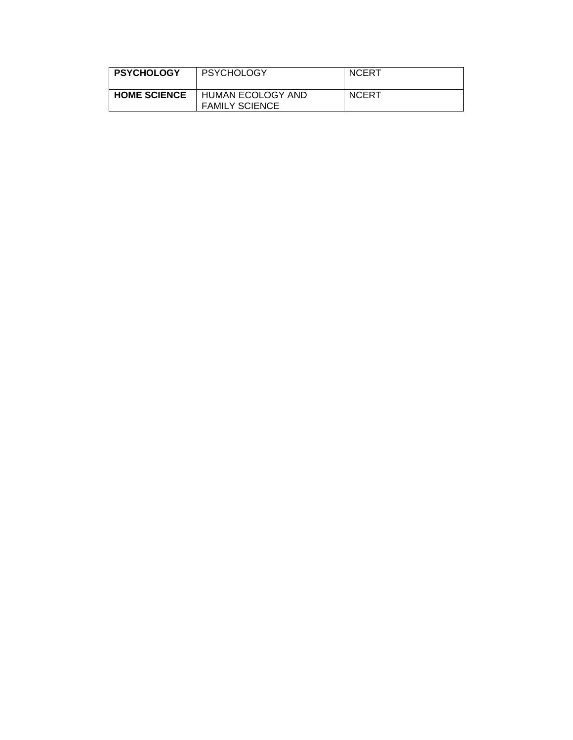| <b>PSYCHOLOGY</b>   | <b>PSYCHOLOGY</b>                          | <b>NCERT</b> |
|---------------------|--------------------------------------------|--------------|
| <b>HOME SCIENCE</b> | HUMAN ECOLOGY AND<br><b>FAMILY SCIENCE</b> | <b>NCERT</b> |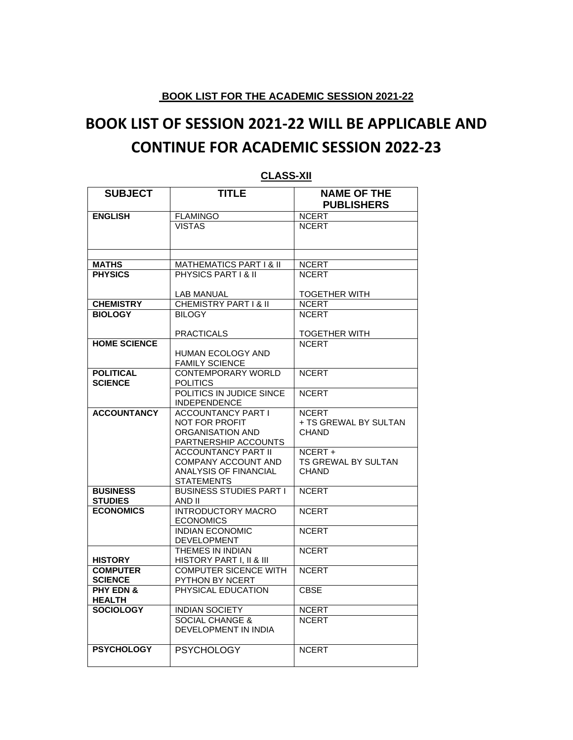#### **BOOK LIST FOR THE ACADEMIC SESSION 2021-22**

# **BOOK LIST OF SESSION 2021-22 WILL BE APPLICABLE AND CONTINUE FOR ACADEMIC SESSION 2022-23**

| <b>SUBJECT</b>                     | <b>TITLE</b>                                    | <b>NAME OF THE</b>    |
|------------------------------------|-------------------------------------------------|-----------------------|
|                                    |                                                 | <b>PUBLISHERS</b>     |
| <b>ENGLISH</b>                     | <b>FLAMINGO</b>                                 | <b>NCERT</b>          |
|                                    | <b>VISTAS</b>                                   | <b>NCERT</b>          |
|                                    |                                                 |                       |
|                                    |                                                 |                       |
|                                    |                                                 |                       |
| <b>MATHS</b>                       | MATHEMATICS PART I & II                         | <b>NCERT</b>          |
| <b>PHYSICS</b>                     | PHYSICS PART I & II                             | <b>NCERT</b>          |
|                                    | LAB MANUAL                                      | <b>TOGETHER WITH</b>  |
| <b>CHEMISTRY</b>                   | <b>CHEMISTRY PART I &amp; II</b>                | <b>NCERT</b>          |
| <b>BIOLOGY</b>                     | <b>BILOGY</b>                                   | <b>NCERT</b>          |
|                                    |                                                 |                       |
|                                    | <b>PRACTICALS</b>                               | <b>TOGETHER WITH</b>  |
| <b>HOME SCIENCE</b>                |                                                 | <b>NCERT</b>          |
|                                    | HUMAN ECOLOGY AND                               |                       |
|                                    | <b>FAMILY SCIENCE</b>                           |                       |
| <b>POLITICAL</b>                   | <b>CONTEMPORARY WORLD</b>                       | <b>NCERT</b>          |
| <b>SCIENCE</b>                     | <b>POLITICS</b>                                 |                       |
|                                    | POLITICS IN JUDICE SINCE<br><b>INDEPENDENCE</b> | <b>NCERT</b>          |
| <b>ACCOUNTANCY</b>                 | <b>ACCOUNTANCY PART I</b>                       | <b>NCERT</b>          |
|                                    | <b>NOT FOR PROFIT</b>                           | + TS GREWAL BY SULTAN |
|                                    | ORGANISATION AND                                | <b>CHAND</b>          |
|                                    | PARTNERSHIP ACCOUNTS                            |                       |
|                                    | <b>ACCOUNTANCY PART II</b>                      | NCERT+                |
|                                    | COMPANY ACCOUNT AND                             | TS GREWAL BY SULTAN   |
|                                    | <b>ANALYSIS OF FINANCIAL</b>                    | <b>CHAND</b>          |
|                                    | <b>STATEMENTS</b>                               |                       |
| <b>BUSINESS</b>                    | <b>BUSINESS STUDIES PART I</b>                  | <b>NCERT</b>          |
| <b>STUDIES</b><br><b>ECONOMICS</b> | AND II<br><b>INTRODUCTORY MACRO</b>             |                       |
|                                    | <b>ECONOMICS</b>                                | <b>NCERT</b>          |
|                                    | <b>INDIAN ECONOMIC</b>                          | <b>NCERT</b>          |
|                                    | <b>DEVELOPMENT</b>                              |                       |
|                                    | THEMES IN INDIAN                                | <b>NCERT</b>          |
| <b>HISTORY</b>                     | HISTORY PART I, II & III                        |                       |
| <b>COMPUTER</b>                    | <b>COMPUTER SICENCE WITH</b>                    | <b>NCERT</b>          |
| <b>SCIENCE</b>                     | PYTHON BY NCERT                                 |                       |
| <b>PHY EDN &amp;</b>               | PHYSICAL EDUCATION                              | <b>CBSE</b>           |
| <b>HEALTH</b>                      |                                                 |                       |
| <b>SOCIOLOGY</b>                   | <b>INDIAN SOCIETY</b>                           | <b>NCERT</b>          |
|                                    | <b>SOCIAL CHANGE &amp;</b>                      | <b>NCERT</b>          |
|                                    | DEVELOPMENT IN INDIA                            |                       |
| <b>PSYCHOLOGY</b>                  | <b>PSYCHOLOGY</b>                               | <b>NCERT</b>          |
|                                    |                                                 |                       |
|                                    |                                                 |                       |

#### **CLASS-XII**